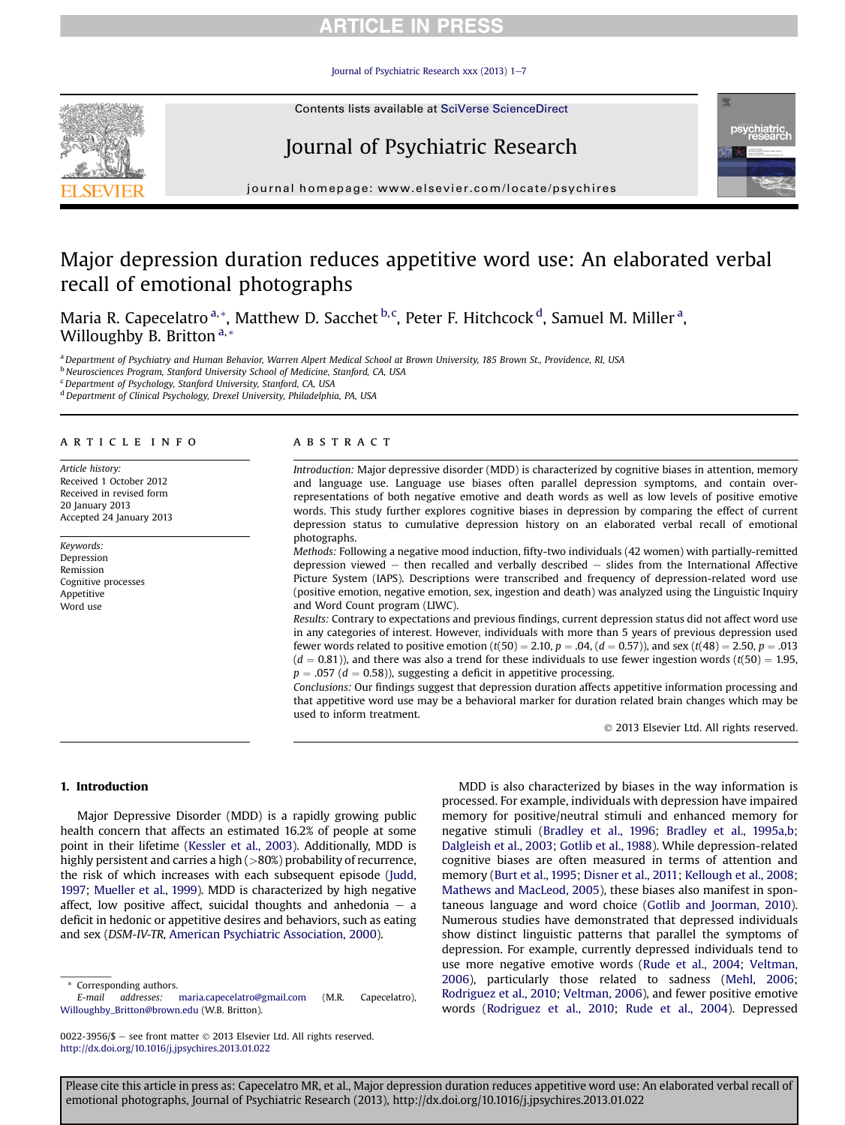# **ARTICLE IN PRESS**

Journal of Psychiatric Research xxx (2013)  $1-\overline{7}$  $1-\overline{7}$  $1-\overline{7}$ 

Contents lists available at SciVerse ScienceDirect





 $j<sub>i</sub>$  is a homepage: where  $i<sub>i</sub>$  is a company company

# Major depression duration reduces appetitive word use: An elaborated verbal recall of emotional photographs

Maria R. Capecelatro <sup>a,</sup>\*, Matthew D. Sacchet <sup>b, c</sup>, Peter F. Hitchcock <sup>d</sup>, Samuel M. Miller <sup>a</sup>, Willoughby B. Britton<sup>a,\*</sup>

a Department of Psychiatry and Human Behavior, Warren Alpert Medical School at Brown University, 185 Brown St., Providence, RI, USA

b Neurosciences Program, Stanford University School of Medicine, Stanford, CA, USA

 $c$  Department of Psychology, Stanford University, Stanford, CA, USA

<sup>d</sup> Department of Clinical Psychology, Drexel University, Philadelphia, PA, USA

### article info

Article history: Received 1 October 2012 Received in revised form 20 January 2013 Accepted 24 January 2013

Keywords: Depression Remission Cognitive processes Appetitive Word use

### **ABSTRACT**

Introduction: Major depressive disorder (MDD) is characterized by cognitive biases in attention, memory and language use. Language use biases often parallel depression symptoms, and contain overrepresentations of both negative emotive and death words as well as low levels of positive emotive words. This study further explores cognitive biases in depression by comparing the effect of current depression status to cumulative depression history on an elaborated verbal recall of emotional photographs.

Methods: Following a negative mood induction, fifty-two individuals (42 women) with partially-remitted depression viewed  $-$  then recalled and verbally described  $-$  slides from the International Affective Picture System (IAPS). Descriptions were transcribed and frequency of depression-related word use (positive emotion, negative emotion, sex, ingestion and death) was analyzed using the Linguistic Inquiry and Word Count program (LIWC).

Results: Contrary to expectations and previous findings, current depression status did not affect word use in any categories of interest. However, individuals with more than 5 years of previous depression used fewer words related to positive emotion ( $t(50) = 2.10$ ,  $p = .04$ , ( $d = 0.57$ )), and sex ( $t(48) = 2.50$ ,  $p = .013$  $(d = 0.81)$ ), and there was also a trend for these individuals to use fewer ingestion words  $(t(50) = 1.95$ ,  $p = .057$  ( $d = 0.58$ )), suggesting a deficit in appetitive processing.

Conclusions: Our findings suggest that depression duration affects appetitive information processing and that appetitive word use may be a behavioral marker for duration related brain changes which may be used to inform treatment.

2013 Elsevier Ltd. All rights reserved.

#### 1. Introduction

Major Depressive Disorder (MDD) is a rapidly growing public health concern that affects an estimated 16.2% of people at some point in their lifetime [\(Kessler et al., 2003](#page-6-0)). Additionally, MDD is highly persistent and carries a high (>80%) probability of recurrence, the risk of which increases with each subsequent episode ([Judd,](#page-6-0) [1997](#page-6-0); [Mueller et al., 1999\)](#page-6-0). MDD is characterized by high negative affect, low positive affect, suicidal thoughts and anhedonia  $-$  a deficit in hedonic or appetitive desires and behaviors, such as eating and sex (DSM-IV-TR, [American Psychiatric Association, 2000](#page-5-0)).

MDD is also characterized by biases in the way information is processed. For example, individuals with depression have impaired memory for positive/neutral stimuli and enhanced memory for negative stimuli [\(Bradley et al., 1996;](#page-6-0) [Bradley et al., 1995a,b;](#page-6-0) [Dalgleish et al., 2003;](#page-6-0) [Gotlib et al., 1988\)](#page-6-0). While depression-related cognitive biases are often measured in terms of attention and memory ([Burt et al., 1995;](#page-6-0) [Disner et al., 2011](#page-6-0); [Kellough et al., 2008;](#page-6-0) [Mathews and MacLeod, 2005\)](#page-6-0), these biases also manifest in spontaneous language and word choice [\(Gotlib and Joorman, 2010\)](#page-6-0). Numerous studies have demonstrated that depressed individuals show distinct linguistic patterns that parallel the symptoms of depression. For example, currently depressed individuals tend to use more negative emotive words [\(Rude et al., 2004;](#page-6-0) [Veltman,](#page-6-0) [2006\)](#page-6-0), particularly those related to sadness ([Mehl, 2006;](#page-6-0) [Rodriguez et al., 2010](#page-6-0); [Veltman, 2006\)](#page-6-0), and fewer positive emotive words [\(Rodriguez et al., 2010](#page-6-0); [Rude et al., 2004](#page-6-0)). Depressed

<sup>\*</sup> Corresponding authors.

E-mail addresses: [maria.capecelatro@gmail.com](mailto:maria.capecelatro@gmail.com) (M.R. Capecelatro), [Willoughby\\_Britton@brown.edu](mailto:Willoughby_Britton@brown.edu) (W.B. Britton).

<sup>0022-3956/\$ -</sup> see front matter © 2013 Elsevier Ltd. All rights reserved. <http://dx.doi.org/10.1016/j.jpsychires.2013.01.022>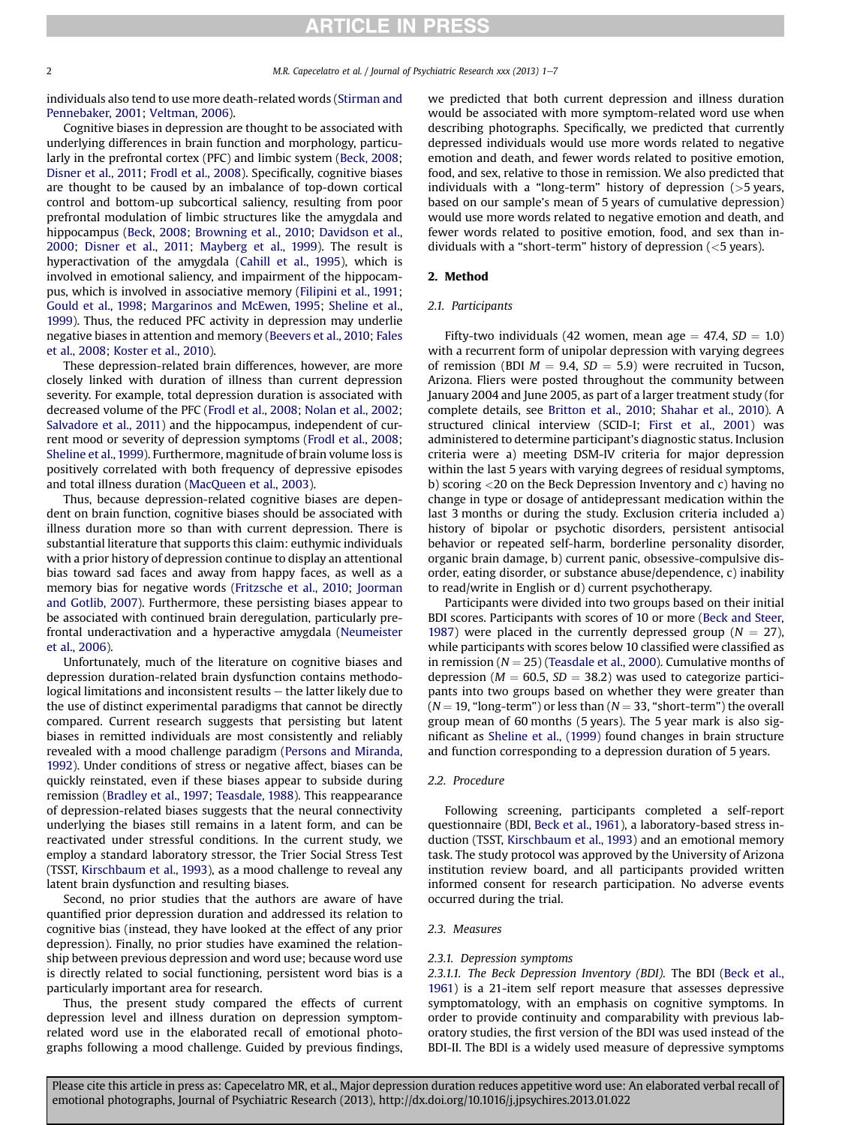individuals also tend to use more death-related words [\(Stirman and](#page-6-0) [Pennebaker, 2001](#page-6-0); [Veltman, 2006](#page-6-0)).

Cognitive biases in depression are thought to be associated with underlying differences in brain function and morphology, particularly in the prefrontal cortex (PFC) and limbic system ([Beck, 2008](#page-5-0); [Disner et al., 2011;](#page-6-0) [Frodl et al., 2008](#page-6-0)). Specifically, cognitive biases are thought to be caused by an imbalance of top-down cortical control and bottom-up subcortical saliency, resulting from poor prefrontal modulation of limbic structures like the amygdala and hippocampus ([Beck, 2008;](#page-5-0) [Browning et al., 2010](#page-6-0); [Davidson et al.,](#page-6-0) [2000](#page-6-0); [Disner et al., 2011;](#page-6-0) [Mayberg et al., 1999\)](#page-6-0). The result is hyperactivation of the amygdala [\(Cahill et al., 1995](#page-6-0)), which is involved in emotional saliency, and impairment of the hippocampus, which is involved in associative memory ([Filipini et al., 1991](#page-6-0); [Gould et al., 1998;](#page-6-0) [Margarinos and McEwen, 1995;](#page-6-0) [Sheline et al.,](#page-6-0) [1999](#page-6-0)). Thus, the reduced PFC activity in depression may underlie negative biases in attention and memory [\(Beevers et al., 2010;](#page-5-0) [Fales](#page-6-0) [et al., 2008;](#page-6-0) [Koster et al., 2010\)](#page-6-0).

These depression-related brain differences, however, are more closely linked with duration of illness than current depression severity. For example, total depression duration is associated with decreased volume of the PFC ([Frodl et al., 2008;](#page-6-0) [Nolan et al., 2002](#page-6-0); [Salvadore et al., 2011\)](#page-6-0) and the hippocampus, independent of current mood or severity of depression symptoms [\(Frodl et al., 2008](#page-6-0); [Sheline et al., 1999](#page-6-0)). Furthermore, magnitude of brain volume loss is positively correlated with both frequency of depressive episodes and total illness duration [\(MacQueen et al., 2003\)](#page-6-0).

Thus, because depression-related cognitive biases are dependent on brain function, cognitive biases should be associated with illness duration more so than with current depression. There is substantial literature that supports this claim: euthymic individuals with a prior history of depression continue to display an attentional bias toward sad faces and away from happy faces, as well as a memory bias for negative words ([Fritzsche et al., 2010;](#page-6-0) [Joorman](#page-6-0) [and Gotlib, 2007\)](#page-6-0). Furthermore, these persisting biases appear to be associated with continued brain deregulation, particularly prefrontal underactivation and a hyperactive amygdala [\(Neumeister](#page-6-0) [et al., 2006\)](#page-6-0).

Unfortunately, much of the literature on cognitive biases and depression duration-related brain dysfunction contains methodological limitations and inconsistent results  $-$  the latter likely due to the use of distinct experimental paradigms that cannot be directly compared. Current research suggests that persisting but latent biases in remitted individuals are most consistently and reliably revealed with a mood challenge paradigm [\(Persons and Miranda,](#page-6-0) [1992](#page-6-0)). Under conditions of stress or negative affect, biases can be quickly reinstated, even if these biases appear to subside during remission [\(Bradley et al., 1997](#page-6-0); [Teasdale, 1988](#page-6-0)). This reappearance of depression-related biases suggests that the neural connectivity underlying the biases still remains in a latent form, and can be reactivated under stressful conditions. In the current study, we employ a standard laboratory stressor, the Trier Social Stress Test (TSST, [Kirschbaum et al., 1993](#page-6-0)), as a mood challenge to reveal any latent brain dysfunction and resulting biases.

Second, no prior studies that the authors are aware of have quantified prior depression duration and addressed its relation to cognitive bias (instead, they have looked at the effect of any prior depression). Finally, no prior studies have examined the relationship between previous depression and word use; because word use is directly related to social functioning, persistent word bias is a particularly important area for research.

Thus, the present study compared the effects of current depression level and illness duration on depression symptomrelated word use in the elaborated recall of emotional photographs following a mood challenge. Guided by previous findings, we predicted that both current depression and illness duration would be associated with more symptom-related word use when describing photographs. Specifically, we predicted that currently depressed individuals would use more words related to negative emotion and death, and fewer words related to positive emotion, food, and sex, relative to those in remission. We also predicted that individuals with a "long-term" history of depression (>5 years, based on our sample's mean of 5 years of cumulative depression) would use more words related to negative emotion and death, and fewer words related to positive emotion, food, and sex than individuals with a "short-term" history of depression  $\left($  < 5 years).

# 2. Method

# 2.1. Participants

Fifty-two individuals (42 women, mean age  $=$  47.4, SD  $=$  1.0) with a recurrent form of unipolar depression with varying degrees of remission (BDI  $M = 9.4$ ,  $SD = 5.9$ ) were recruited in Tucson, Arizona. Fliers were posted throughout the community between January 2004 and June 2005, as part of a larger treatment study (for complete details, see [Britton et al., 2010;](#page-6-0) [Shahar et al., 2010\)](#page-6-0). A structured clinical interview (SCID-I; [First et al., 2001](#page-6-0)) was administered to determine participant's diagnostic status. Inclusion criteria were a) meeting DSM-IV criteria for major depression within the last 5 years with varying degrees of residual symptoms, b) scoring <20 on the Beck Depression Inventory and c) having no change in type or dosage of antidepressant medication within the last 3 months or during the study. Exclusion criteria included a) history of bipolar or psychotic disorders, persistent antisocial behavior or repeated self-harm, borderline personality disorder, organic brain damage, b) current panic, obsessive-compulsive disorder, eating disorder, or substance abuse/dependence, c) inability to read/write in English or d) current psychotherapy.

Participants were divided into two groups based on their initial BDI scores. Participants with scores of 10 or more ([Beck and Steer,](#page-5-0) [1987](#page-5-0)) were placed in the currently depressed group ( $N = 27$ ), while participants with scores below 10 classified were classified as in remission ( $N = 25$ ) [\(Teasdale et al., 2000\)](#page-6-0). Cumulative months of depression ( $M = 60.5$ ,  $SD = 38.2$ ) was used to categorize participants into two groups based on whether they were greater than  $(N = 19, "long-term")$  or less than  $(N = 33, "short-term")$  the overall group mean of 60 months (5 years). The 5 year mark is also significant as [Sheline et al., \(1999\)](#page-6-0) found changes in brain structure and function corresponding to a depression duration of 5 years.

# 2.2. Procedure

Following screening, participants completed a self-report questionnaire (BDI, [Beck et al., 1961](#page-5-0)), a laboratory-based stress induction (TSST, [Kirschbaum et al., 1993](#page-6-0)) and an emotional memory task. The study protocol was approved by the University of Arizona institution review board, and all participants provided written informed consent for research participation. No adverse events occurred during the trial.

# 2.3. Measures

# 2.3.1. Depression symptoms

2.3.1.1. The Beck Depression Inventory (BDI). The BDI ([Beck et al.,](#page-5-0) [1961\)](#page-5-0) is a 21-item self report measure that assesses depressive symptomatology, with an emphasis on cognitive symptoms. In order to provide continuity and comparability with previous laboratory studies, the first version of the BDI was used instead of the BDI-II. The BDI is a widely used measure of depressive symptoms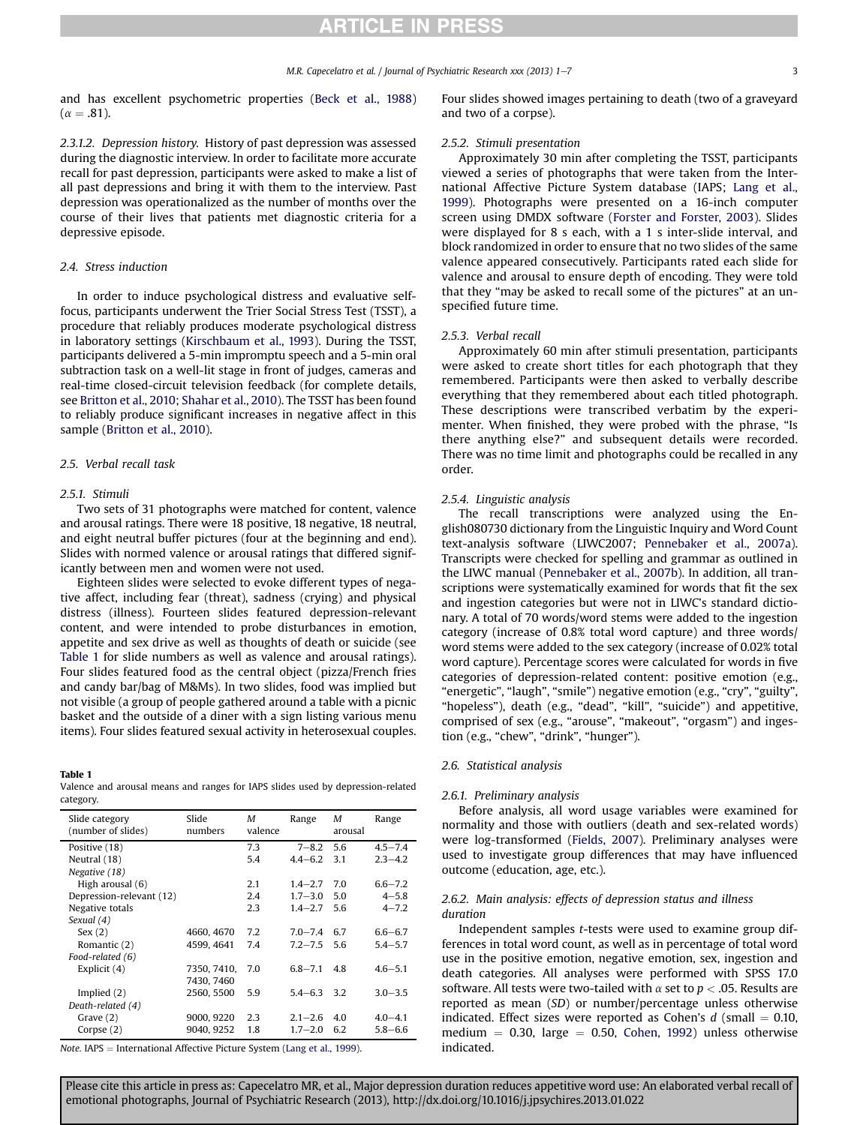# **RTICLE IN PRESS**

and has excellent psychometric properties ([Beck et al., 1988\)](#page-5-0)  $(\alpha = .81)$ .

2.3.1.2. Depression history. History of past depression was assessed during the diagnostic interview. In order to facilitate more accurate recall for past depression, participants were asked to make a list of all past depressions and bring it with them to the interview. Past depression was operationalized as the number of months over the course of their lives that patients met diagnostic criteria for a depressive episode.

### 2.4. Stress induction

In order to induce psychological distress and evaluative selffocus, participants underwent the Trier Social Stress Test (TSST), a procedure that reliably produces moderate psychological distress in laboratory settings [\(Kirschbaum et al., 1993](#page-6-0)). During the TSST, participants delivered a 5-min impromptu speech and a 5-min oral subtraction task on a well-lit stage in front of judges, cameras and real-time closed-circuit television feedback (for complete details, see [Britton et al., 2010;](#page-6-0) [Shahar et al., 2010](#page-6-0)). The TSST has been found to reliably produce significant increases in negative affect in this sample [\(Britton et al., 2010\)](#page-6-0).

#### 2.5. Verbal recall task

#### 2.5.1. Stimuli

Two sets of 31 photographs were matched for content, valence and arousal ratings. There were 18 positive, 18 negative, 18 neutral, and eight neutral buffer pictures (four at the beginning and end). Slides with normed valence or arousal ratings that differed significantly between men and women were not used.

Eighteen slides were selected to evoke different types of negative affect, including fear (threat), sadness (crying) and physical distress (illness). Fourteen slides featured depression-relevant content, and were intended to probe disturbances in emotion, appetite and sex drive as well as thoughts of death or suicide (see Table 1 for slide numbers as well as valence and arousal ratings). Four slides featured food as the central object (pizza/French fries and candy bar/bag of M&Ms). In two slides, food was implied but not visible (a group of people gathered around a table with a picnic basket and the outside of a diner with a sign listing various menu items). Four slides featured sexual activity in heterosexual couples.

#### Table 1

|           |  |  |  |  |  | Valence and arousal means and ranges for IAPS slides used by depression-related |  |
|-----------|--|--|--|--|--|---------------------------------------------------------------------------------|--|
| category. |  |  |  |  |  |                                                                                 |  |

| Slide category<br>(number of slides) | Slide<br>numbers | M<br>valence | Range           | M<br>arousal | Range       |
|--------------------------------------|------------------|--------------|-----------------|--------------|-------------|
| Positive (18)                        |                  | 7.3          | $7 - 8.2$       | 5.6          | $4.5 - 7.4$ |
| Neutral (18)                         |                  | 5.4          | $4.4 - 6.2$     | 3.1          | $23 - 4.2$  |
| Negative (18)                        |                  |              |                 |              |             |
| High arousal (6)                     |                  | 2.1          | $1.4 - 2.7$     | 7.0          | $6.6 - 7.2$ |
| Depression-relevant (12)             |                  | 2.4          | $1.7 - 3.0$     | 5.0          | $4 - 5.8$   |
| Negative totals                      |                  | 2.3          | $1.4 - 2.7$     | 5.6          | $4 - 7.2$   |
| Sexual (4)                           |                  |              |                 |              |             |
| Sex(2)                               | 4660, 4670       | 7.2          | $7.0 - 7.4$     | 6.7          | $6.6 - 6.7$ |
| Romantic (2)                         | 4599, 4641       | 7.4          | $7.2 - 7.5$     | 5.6          | $5.4 - 5.7$ |
| Food-related (6)                     |                  |              |                 |              |             |
| Explicit $(4)$                       | 7350, 7410,      | 7.0          | $6.8 - 7.1$     | 4.8          | $4.6 - 5.1$ |
|                                      | 7430, 7460       |              |                 |              |             |
| Implied $(2)$                        | 2560, 5500       | 5.9          | $5.4 - 6.3$ 3.2 |              | $3.0 - 3.5$ |
| Death-related (4)                    |                  |              |                 |              |             |
| Grave $(2)$                          | 9000, 9220       | 2.3          | $2.1 - 2.6$     | 4.0          | $4.0 - 4.1$ |
| Corpse $(2)$                         | 9040, 9252       | 1.8          | $1.7 - 2.0$     | 6.2          | $5.8 - 6.6$ |

Note. IAPS = International Affective Picture System ([Lang et al., 1999](#page-6-0)).

Four slides showed images pertaining to death (two of a graveyard and two of a corpse).

#### 2.5.2. Stimuli presentation

Approximately 30 min after completing the TSST, participants viewed a series of photographs that were taken from the International Affective Picture System database (IAPS; [Lang et al.,](#page-6-0) [1999](#page-6-0)). Photographs were presented on a 16-inch computer screen using DMDX software [\(Forster and Forster, 2003\)](#page-6-0). Slides were displayed for 8 s each, with a 1 s inter-slide interval, and block randomized in order to ensure that no two slides of the same valence appeared consecutively. Participants rated each slide for valence and arousal to ensure depth of encoding. They were told that they "may be asked to recall some of the pictures" at an unspecified future time.

#### 2.5.3. Verbal recall

Approximately 60 min after stimuli presentation, participants were asked to create short titles for each photograph that they remembered. Participants were then asked to verbally describe everything that they remembered about each titled photograph. These descriptions were transcribed verbatim by the experimenter. When finished, they were probed with the phrase, "Is there anything else?" and subsequent details were recorded. There was no time limit and photographs could be recalled in any order.

#### 2.5.4. Linguistic analysis

The recall transcriptions were analyzed using the English080730 dictionary from the Linguistic Inquiry and Word Count text-analysis software (LIWC2007; [Pennebaker et al., 2007a\)](#page-6-0). Transcripts were checked for spelling and grammar as outlined in the LIWC manual [\(Pennebaker et al., 2007b\)](#page-6-0). In addition, all transcriptions were systematically examined for words that fit the sex and ingestion categories but were not in LIWC's standard dictionary. A total of 70 words/word stems were added to the ingestion category (increase of 0.8% total word capture) and three words/ word stems were added to the sex category (increase of 0.02% total word capture). Percentage scores were calculated for words in five categories of depression-related content: positive emotion (e.g., "energetic", "laugh", "smile") negative emotion (e.g., "cry", "guilty", "hopeless"), death (e.g., "dead", "kill", "suicide") and appetitive, comprised of sex (e.g., "arouse", "makeout", "orgasm") and ingestion (e.g., "chew", "drink", "hunger").

### 2.6. Statistical analysis

### 2.6.1. Preliminary analysis

Before analysis, all word usage variables were examined for normality and those with outliers (death and sex-related words) were log-transformed [\(Fields, 2007](#page-6-0)). Preliminary analyses were used to investigate group differences that may have influenced outcome (education, age, etc.).

# 2.6.2. Main analysis: effects of depression status and illness duration

Independent samples t-tests were used to examine group differences in total word count, as well as in percentage of total word use in the positive emotion, negative emotion, sex, ingestion and death categories. All analyses were performed with SPSS 17.0 software. All tests were two-tailed with  $\alpha$  set to  $p < .05$ . Results are reported as mean (SD) or number/percentage unless otherwise indicated. Effect sizes were reported as Cohen's  $d$  (small = 0.10, medium  $= 0.30$ , large  $= 0.50$ , [Cohen, 1992](#page-6-0)) unless otherwise indicated.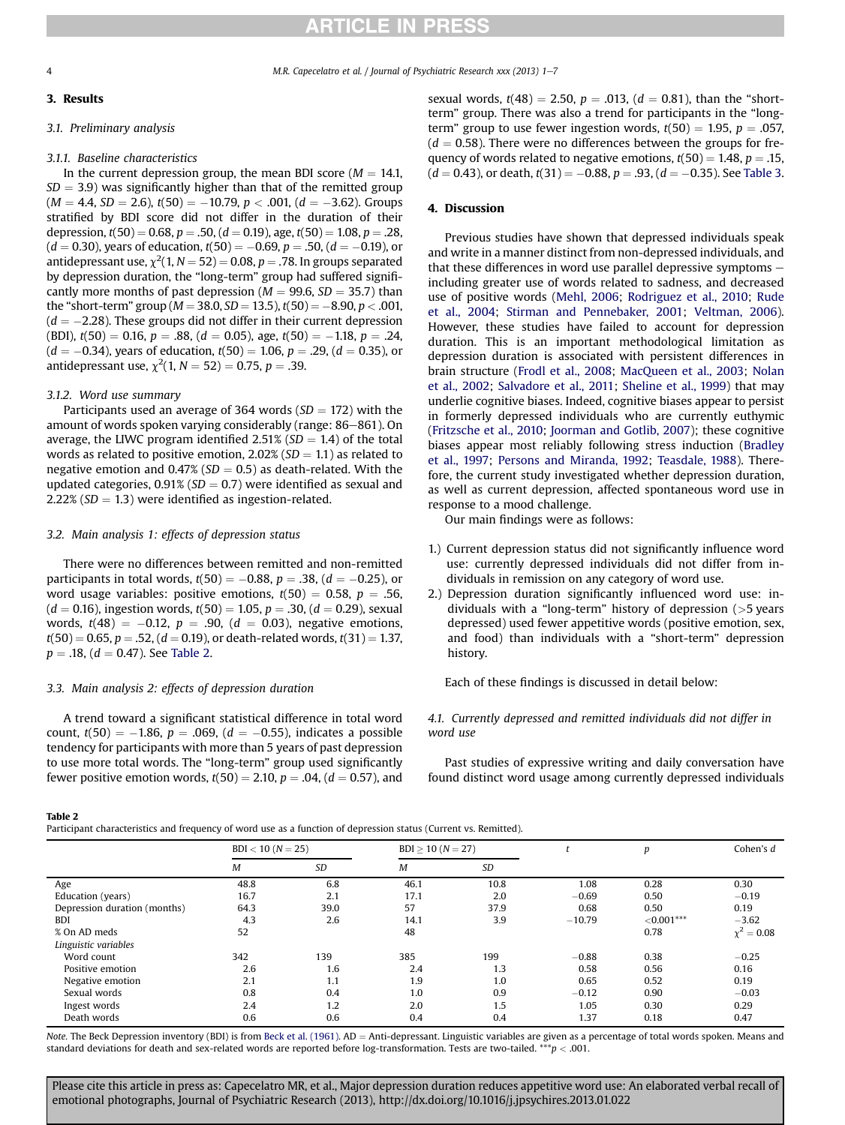# **RTICLE IN PRESS**

M.R. Capecelatro et al. / Journal of Psychiatric Research xxx (2013) 1-7

# 3. Results

# 3.1. Preliminary analysis

# 3.1.1. Baseline characteristics

In the current depression group, the mean BDI score ( $M = 14.1$ ,  $SD = 3.9$ ) was significantly higher than that of the remitted group  $(M = 4.4, SD = 2.6), t(50) = -10.79, p < .001, (d = -3.62).$  Groups stratified by BDI score did not differ in the duration of their depression,  $t(50) = 0.68$ ,  $p = .50$ ,  $(d = 0.19)$ , age,  $t(50) = 1.08$ ,  $p = .28$ ,  $(d = 0.30)$ , years of education,  $t(50) = -0.69$ ,  $p = .50$ ,  $(d = -0.19)$ , or antidepressant use,  $\chi^2(1, N = 52) = 0.08$ ,  $p = .78$ . In groups separated by depression duration, the "long-term" group had suffered significantly more months of past depression ( $M = 99.6$ ,  $SD = 35.7$ ) than the "short-term" group ( $M = 38.0, SD = 13.5$ ),  $t(50) = -8.90, p < .001,$  $(d = -2.28)$ . These groups did not differ in their current depression (BDI),  $t(50) = 0.16$ ,  $p = .88$ ,  $(d = 0.05)$ , age,  $t(50) = -1.18$ ,  $p = .24$ ,  $(d = -0.34)$ , years of education,  $t(50) = 1.06$ ,  $p = .29$ ,  $(d = 0.35)$ , or antidepressant use,  $\chi^2(1, N = 52) = 0.75, p = .39.$ 

# 3.1.2. Word use summary

Participants used an average of 364 words ( $SD = 172$ ) with the amount of words spoken varying considerably (range: 86-861). On average, the LIWC program identified 2.51% ( $SD = 1.4$ ) of the total words as related to positive emotion,  $2.02\%$  (SD = 1.1) as related to negative emotion and  $0.47\%$  (SD = 0.5) as death-related. With the updated categories,  $0.91\%$  (SD = 0.7) were identified as sexual and 2.22% ( $SD = 1.3$ ) were identified as ingestion-related.

# 3.2. Main analysis 1: effects of depression status

There were no differences between remitted and non-remitted participants in total words,  $t(50) = -0.88$ ,  $p = .38$ ,  $(d = -0.25)$ , or word usage variables: positive emotions,  $t(50) = 0.58$ ,  $p = .56$ ,  $(d = 0.16)$ , ingestion words,  $t(50) = 1.05$ ,  $p = .30$ ,  $(d = 0.29)$ , sexual words,  $t(48) = -0.12$ ,  $p = .90$ ,  $(d = 0.03)$ , negative emotions,  $t(50) = 0.65$ ,  $p = .52$ ,  $(d = 0.19)$ , or death-related words,  $t(31) = 1.37$ ,  $p = .18$ ,  $(d = 0.47)$ . See Table 2.

# 3.3. Main analysis 2: effects of depression duration

A trend toward a significant statistical difference in total word count,  $t(50) = -1.86$ ,  $p = .069$ ,  $(d = -0.55)$ , indicates a possible tendency for participants with more than 5 years of past depression to use more total words. The "long-term" group used significantly fewer positive emotion words,  $t(50) = 2.10$ ,  $p = .04$ ,  $(d = 0.57)$ , and

# sexual words,  $t(48) = 2.50$ ,  $p = .013$ ,  $(d = 0.81)$ , than the "shortterm" group. There was also a trend for participants in the "longterm" group to use fewer ingestion words,  $t(50) = 1.95$ ,  $p = .057$ ,  $(d = 0.58)$ . There were no differences between the groups for frequency of words related to negative emotions,  $t(50) = 1.48$ ,  $p = .15$ ,  $(d = 0.43)$ , or death,  $t(31) = -0.88$ ,  $p = .93$ ,  $(d = -0.35)$ . See [Table 3.](#page-4-0)

# 4. Discussion

Previous studies have shown that depressed individuals speak and write in a manner distinct from non-depressed individuals, and that these differences in word use parallel depressive symptoms  $$ including greater use of words related to sadness, and decreased use of positive words [\(Mehl, 2006](#page-6-0); [Rodriguez et al., 2010](#page-6-0); [Rude](#page-6-0) [et al., 2004](#page-6-0); [Stirman and Pennebaker, 2001;](#page-6-0) [Veltman, 2006\)](#page-6-0). However, these studies have failed to account for depression duration. This is an important methodological limitation as depression duration is associated with persistent differences in brain structure [\(Frodl et al., 2008](#page-6-0); [MacQueen et al., 2003](#page-6-0); [Nolan](#page-6-0) [et al., 2002](#page-6-0); [Salvadore et al., 2011;](#page-6-0) [Sheline et al., 1999\)](#page-6-0) that may underlie cognitive biases. Indeed, cognitive biases appear to persist in formerly depressed individuals who are currently euthymic ([Fritzsche et al., 2010;](#page-6-0) [Joorman and Gotlib, 2007\)](#page-6-0); these cognitive biases appear most reliably following stress induction [\(Bradley](#page-6-0) [et al., 1997;](#page-6-0) [Persons and Miranda, 1992](#page-6-0); [Teasdale, 1988](#page-6-0)). Therefore, the current study investigated whether depression duration, as well as current depression, affected spontaneous word use in response to a mood challenge.

Our main findings were as follows:

- 1.) Current depression status did not significantly influence word use: currently depressed individuals did not differ from individuals in remission on any category of word use.
- 2.) Depression duration significantly influenced word use: individuals with a "long-term" history of depression (>5 years depressed) used fewer appetitive words (positive emotion, sex, and food) than individuals with a "short-term" depression history.

Each of these findings is discussed in detail below:

4.1. Currently depressed and remitted individuals did not differ in word use

Past studies of expressive writing and daily conversation have found distinct word usage among currently depressed individuals

### Table 2

Participant characteristics and frequency of word use as a function of depression status (Current vs. Remitted).

|                              | $BDI < 10 (N = 25)$ |      | $BDI > 10 (N = 27)$ |      |          |              | Cohen's d       |
|------------------------------|---------------------|------|---------------------|------|----------|--------------|-----------------|
|                              | M                   | SD   | М                   | SD   |          |              |                 |
| Age                          | 48.8                | 6.8  | 46.1                | 10.8 | 1.08     | 0.28         | 0.30            |
| Education (years)            | 16.7                | 2.1  | 17.1                | 2.0  | $-0.69$  | 0.50         | $-0.19$         |
| Depression duration (months) | 64.3                | 39.0 | 57                  | 37.9 | 0.68     | 0.50         | 0.19            |
| BDI                          | 4.3                 | 2.6  | 14.1                | 3.9  | $-10.79$ | $< 0.001***$ | $-3.62$         |
| % On AD meds                 | 52                  |      | 48                  |      |          | 0.78         | $\chi^2 = 0.08$ |
| Linguistic variables         |                     |      |                     |      |          |              |                 |
| Word count                   | 342                 | 139  | 385                 | 199  | $-0.88$  | 0.38         | $-0.25$         |
| Positive emotion             | 2.6                 | 1.6  | 2.4                 | 1.3  | 0.58     | 0.56         | 0.16            |
| Negative emotion             | 2.1                 | 1.1  | 1.9                 | 1.0  | 0.65     | 0.52         | 0.19            |
| Sexual words                 | 0.8                 | 0.4  | 1.0                 | 0.9  | $-0.12$  | 0.90         | $-0.03$         |
| Ingest words                 | 2.4                 | 1.2  | 2.0                 | 1.5  | 1.05     | 0.30         | 0.29            |
| Death words                  | 0.6                 | 0.6  | 0.4                 | 0.4  | 1.37     | 0.18         | 0.47            |

Note. The Beck Depression inventory (BDI) is from [Beck et al. \(1961\).](#page-5-0) AD = Anti-depressant. Linguistic variables are given as a percentage of total words spoken. Means and standard deviations for death and sex-related words are reported before log-transformation. Tests are two-tailed. \*\*\*  $p < .001$ .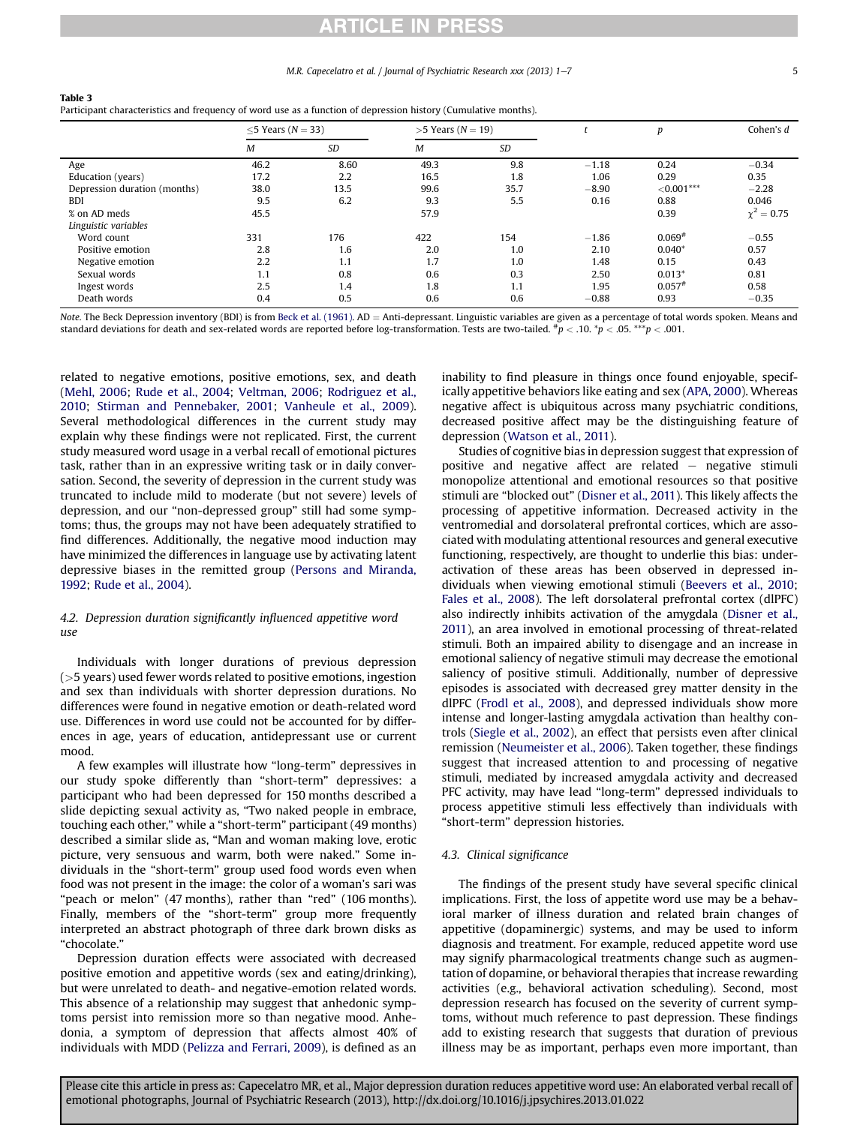# **ARTICLE IN PRESS**

#### M.R. Capecelatro et al. / Journal of Psychiatric Research xxx (2013) 1–7 5

| Participant characteristics and frequency of word use as a function of depression history (Cumulative months). |                         |      |                         |           |         |                      |                 |  |  |  |
|----------------------------------------------------------------------------------------------------------------|-------------------------|------|-------------------------|-----------|---------|----------------------|-----------------|--|--|--|
|                                                                                                                | $<$ 5 Years ( $N$ = 33) |      | $>5$ Years ( $N = 19$ ) |           |         | p                    | Cohen's d       |  |  |  |
|                                                                                                                | M                       | SD   | M                       | <b>SD</b> |         |                      |                 |  |  |  |
| Age                                                                                                            | 46.2                    | 8.60 | 49.3                    | 9.8       | $-1.18$ | 0.24                 | $-0.34$         |  |  |  |
| Education (years)                                                                                              | 17.2                    | 2.2  | 16.5                    | 1.8       | 1.06    | 0.29                 | 0.35            |  |  |  |
| Depression duration (months)                                                                                   | 38.0                    | 13.5 | 99.6                    | 35.7      | $-8.90$ | ${<}0.001***$        | $-2.28$         |  |  |  |
| <b>BDI</b>                                                                                                     | 9.5                     | 6.2  | 9.3                     | 5.5       | 0.16    | 0.88                 | 0.046           |  |  |  |
| % on AD meds                                                                                                   | 45.5                    |      | 57.9                    |           |         | 0.39                 | $\chi^2 = 0.75$ |  |  |  |
| Linguistic variables                                                                                           |                         |      |                         |           |         |                      |                 |  |  |  |
| Word count                                                                                                     | 331                     | 176  | 422                     | 154       | $-1.86$ | $0.069*$             | $-0.55$         |  |  |  |
| Positive emotion                                                                                               | 2.8                     | 1.6  | 2.0                     | 1.0       | 2.10    | $0.040*$             | 0.57            |  |  |  |
| Negative emotion                                                                                               | 2.2                     | 1.1  | 1.7                     | 1.0       | 1.48    | 0.15                 | 0.43            |  |  |  |
| Sexual words                                                                                                   | 1.1                     | 0.8  | 0.6                     | 0.3       | 2.50    | $0.013*$             | 0.81            |  |  |  |
| Ingest words                                                                                                   | 2.5                     | 1.4  | 1.8                     | 1.1       | 1.95    | $0.057$ <sup>#</sup> | 0.58            |  |  |  |
| Death words                                                                                                    | 0.4                     | 0.5  | 0.6                     | 0.6       | $-0.88$ | 0.93                 | $-0.35$         |  |  |  |
|                                                                                                                |                         |      |                         |           |         |                      |                 |  |  |  |

<span id="page-4-0"></span>Table 3

Note. The Beck Depression inventory (BDI) is from [Beck et al. \(1961\)](#page-5-0). AD = Anti-depressant. Linguistic variables are given as a percentage of total words spoken. Means and standard deviations for death and sex-related words are reported before log-transformation. Tests are two-tailed.  $^{*}p$  < .00.  $^{*}p$  < .05. \*\*\*p < .001.

related to negative emotions, positive emotions, sex, and death ([Mehl, 2006;](#page-6-0) [Rude et al., 2004](#page-6-0); [Veltman, 2006;](#page-6-0) [Rodriguez et al.,](#page-6-0) [2010;](#page-6-0) [Stirman and Pennebaker, 2001;](#page-6-0) [Vanheule et al., 2009\)](#page-6-0). Several methodological differences in the current study may explain why these findings were not replicated. First, the current study measured word usage in a verbal recall of emotional pictures task, rather than in an expressive writing task or in daily conversation. Second, the severity of depression in the current study was truncated to include mild to moderate (but not severe) levels of depression, and our "non-depressed group" still had some symptoms; thus, the groups may not have been adequately stratified to find differences. Additionally, the negative mood induction may have minimized the differences in language use by activating latent depressive biases in the remitted group [\(Persons and Miranda,](#page-6-0) [1992;](#page-6-0) [Rude et al., 2004\)](#page-6-0).

### 4.2. Depression duration significantly influenced appetitive word use

Individuals with longer durations of previous depression (>5 years) used fewer words related to positive emotions, ingestion and sex than individuals with shorter depression durations. No differences were found in negative emotion or death-related word use. Differences in word use could not be accounted for by differences in age, years of education, antidepressant use or current mood.

A few examples will illustrate how "long-term" depressives in our study spoke differently than "short-term" depressives: a participant who had been depressed for 150 months described a slide depicting sexual activity as, "Two naked people in embrace, touching each other," while a "short-term" participant (49 months) described a similar slide as, "Man and woman making love, erotic picture, very sensuous and warm, both were naked." Some individuals in the "short-term" group used food words even when food was not present in the image: the color of a woman's sari was "peach or melon" (47 months), rather than "red" (106 months). Finally, members of the "short-term" group more frequently interpreted an abstract photograph of three dark brown disks as "chocolate."

Depression duration effects were associated with decreased positive emotion and appetitive words (sex and eating/drinking), but were unrelated to death- and negative-emotion related words. This absence of a relationship may suggest that anhedonic symptoms persist into remission more so than negative mood. Anhedonia, a symptom of depression that affects almost 40% of individuals with MDD [\(Pelizza and Ferrari, 2009](#page-6-0)), is defined as an

inability to find pleasure in things once found enjoyable, specifically appetitive behaviors like eating and sex [\(APA, 2000\)](#page-5-0). Whereas negative affect is ubiquitous across many psychiatric conditions, decreased positive affect may be the distinguishing feature of depression [\(Watson et al., 2011\)](#page-6-0).

Studies of cognitive bias in depression suggest that expression of positive and negative affect are related  $-$  negative stimuli monopolize attentional and emotional resources so that positive stimuli are "blocked out" [\(Disner et al., 2011\)](#page-6-0). This likely affects the processing of appetitive information. Decreased activity in the ventromedial and dorsolateral prefrontal cortices, which are associated with modulating attentional resources and general executive functioning, respectively, are thought to underlie this bias: underactivation of these areas has been observed in depressed individuals when viewing emotional stimuli [\(Beevers et al., 2010;](#page-5-0) [Fales et al., 2008](#page-6-0)). The left dorsolateral prefrontal cortex (dlPFC) also indirectly inhibits activation of the amygdala ([Disner et al.,](#page-6-0) [2011](#page-6-0)), an area involved in emotional processing of threat-related stimuli. Both an impaired ability to disengage and an increase in emotional saliency of negative stimuli may decrease the emotional saliency of positive stimuli. Additionally, number of depressive episodes is associated with decreased grey matter density in the dlPFC [\(Frodl et al., 2008\)](#page-6-0), and depressed individuals show more intense and longer-lasting amygdala activation than healthy controls [\(Siegle et al., 2002\)](#page-5-0), an effect that persists even after clinical remission ([Neumeister et al., 2006\)](#page-6-0). Taken together, these findings suggest that increased attention to and processing of negative stimuli, mediated by increased amygdala activity and decreased PFC activity, may have lead "long-term" depressed individuals to process appetitive stimuli less effectively than individuals with "short-term" depression histories.

### 4.3. Clinical significance

The findings of the present study have several specific clinical implications. First, the loss of appetite word use may be a behavioral marker of illness duration and related brain changes of appetitive (dopaminergic) systems, and may be used to inform diagnosis and treatment. For example, reduced appetite word use may signify pharmacological treatments change such as augmentation of dopamine, or behavioral therapies that increase rewarding activities (e.g., behavioral activation scheduling). Second, most depression research has focused on the severity of current symptoms, without much reference to past depression. These findings add to existing research that suggests that duration of previous illness may be as important, perhaps even more important, than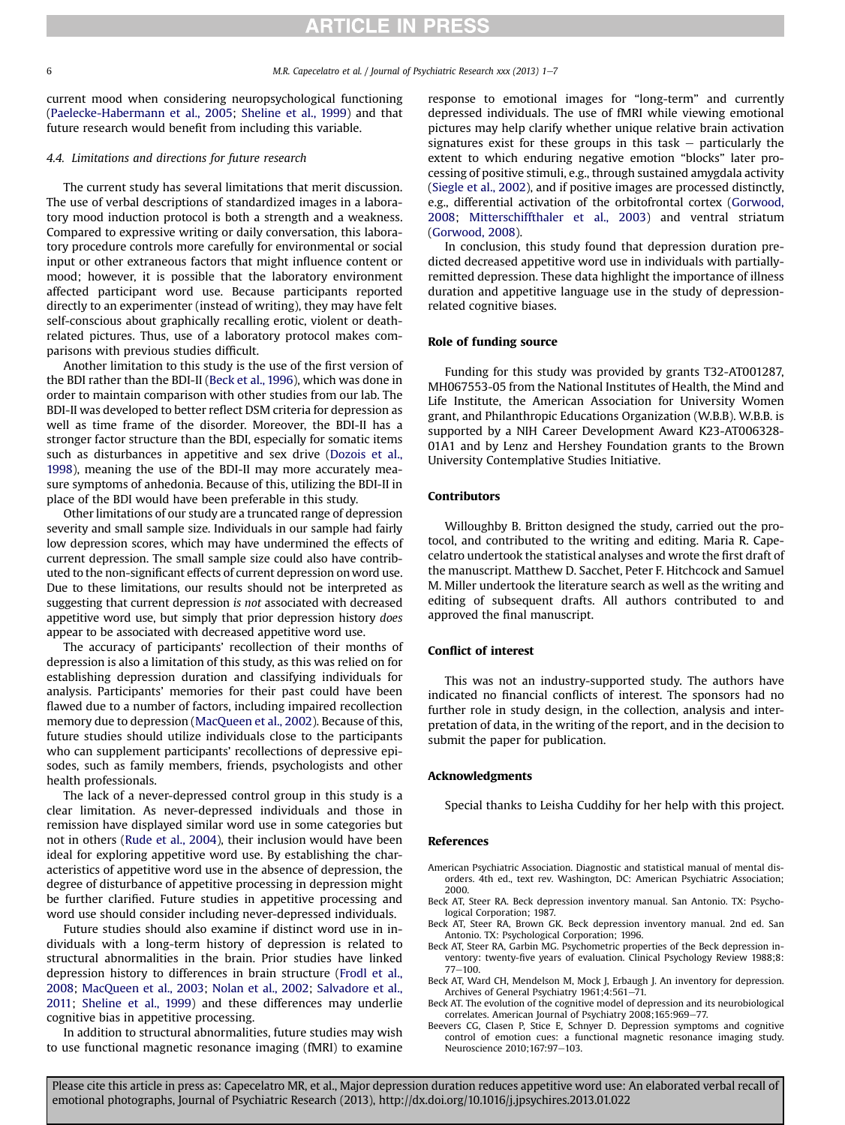<span id="page-5-0"></span>

current mood when considering neuropsychological functioning ([Paelecke-Habermann et al., 2005;](#page-6-0) [Sheline et al., 1999](#page-6-0)) and that future research would benefit from including this variable.

### 4.4. Limitations and directions for future research

The current study has several limitations that merit discussion. The use of verbal descriptions of standardized images in a laboratory mood induction protocol is both a strength and a weakness. Compared to expressive writing or daily conversation, this laboratory procedure controls more carefully for environmental or social input or other extraneous factors that might influence content or mood; however, it is possible that the laboratory environment affected participant word use. Because participants reported directly to an experimenter (instead of writing), they may have felt self-conscious about graphically recalling erotic, violent or deathrelated pictures. Thus, use of a laboratory protocol makes comparisons with previous studies difficult.

Another limitation to this study is the use of the first version of the BDI rather than the BDI-II (Beck et al., 1996), which was done in order to maintain comparison with other studies from our lab. The BDI-II was developed to better reflect DSM criteria for depression as well as time frame of the disorder. Moreover, the BDI-II has a stronger factor structure than the BDI, especially for somatic items such as disturbances in appetitive and sex drive ([Dozois et al.,](#page-6-0) [1998](#page-6-0)), meaning the use of the BDI-II may more accurately measure symptoms of anhedonia. Because of this, utilizing the BDI-II in place of the BDI would have been preferable in this study.

Other limitations of our study are a truncated range of depression severity and small sample size. Individuals in our sample had fairly low depression scores, which may have undermined the effects of current depression. The small sample size could also have contributed to the non-significant effects of current depression on word use. Due to these limitations, our results should not be interpreted as suggesting that current depression is not associated with decreased appetitive word use, but simply that prior depression history does appear to be associated with decreased appetitive word use.

The accuracy of participants' recollection of their months of depression is also a limitation of this study, as this was relied on for establishing depression duration and classifying individuals for analysis. Participants' memories for their past could have been flawed due to a number of factors, including impaired recollection memory due to depression ([MacQueen et al., 2002](#page-6-0)). Because of this, future studies should utilize individuals close to the participants who can supplement participants' recollections of depressive episodes, such as family members, friends, psychologists and other health professionals.

The lack of a never-depressed control group in this study is a clear limitation. As never-depressed individuals and those in remission have displayed similar word use in some categories but not in others [\(Rude et al., 2004\)](#page-6-0), their inclusion would have been ideal for exploring appetitive word use. By establishing the characteristics of appetitive word use in the absence of depression, the degree of disturbance of appetitive processing in depression might be further clarified. Future studies in appetitive processing and word use should consider including never-depressed individuals.

Future studies should also examine if distinct word use in individuals with a long-term history of depression is related to structural abnormalities in the brain. Prior studies have linked depression history to differences in brain structure ([Frodl et al.,](#page-6-0) [2008](#page-6-0); [MacQueen et al., 2003;](#page-6-0) [Nolan et al., 2002;](#page-6-0) [Salvadore et al.,](#page-6-0) [2011;](#page-6-0) [Sheline et al., 1999\)](#page-6-0) and these differences may underlie cognitive bias in appetitive processing.

In addition to structural abnormalities, future studies may wish to use functional magnetic resonance imaging (fMRI) to examine response to emotional images for "long-term" and currently depressed individuals. The use of fMRI while viewing emotional pictures may help clarify whether unique relative brain activation signatures exist for these groups in this task  $-$  particularly the extent to which enduring negative emotion "blocks" later processing of positive stimuli, e.g., through sustained amygdala activity (Siegle et al., 2002), and if positive images are processed distinctly, e.g., differential activation of the orbitofrontal cortex ([Gorwood,](#page-6-0) [2008](#page-6-0); [Mitterschiffthaler et al., 2003\)](#page-6-0) and ventral striatum ([Gorwood, 2008](#page-6-0)).

In conclusion, this study found that depression duration predicted decreased appetitive word use in individuals with partiallyremitted depression. These data highlight the importance of illness duration and appetitive language use in the study of depressionrelated cognitive biases.

# Role of funding source

Funding for this study was provided by grants T32-AT001287, MH067553-05 from the National Institutes of Health, the Mind and Life Institute, the American Association for University Women grant, and Philanthropic Educations Organization (W.B.B). W.B.B. is supported by a NIH Career Development Award K23-AT006328- 01A1 and by Lenz and Hershey Foundation grants to the Brown University Contemplative Studies Initiative.

# Contributors

Willoughby B. Britton designed the study, carried out the protocol, and contributed to the writing and editing. Maria R. Capecelatro undertook the statistical analyses and wrote the first draft of the manuscript. Matthew D. Sacchet, Peter F. Hitchcock and Samuel M. Miller undertook the literature search as well as the writing and editing of subsequent drafts. All authors contributed to and approved the final manuscript.

#### Conflict of interest

This was not an industry-supported study. The authors have indicated no financial conflicts of interest. The sponsors had no further role in study design, in the collection, analysis and interpretation of data, in the writing of the report, and in the decision to submit the paper for publication.

#### Acknowledgments

Special thanks to Leisha Cuddihy for her help with this project.

#### References

- American Psychiatric Association. Diagnostic and statistical manual of mental disorders. 4th ed., text rev. Washington, DC: American Psychiatric Association; 2000.
- Beck AT, Steer RA. Beck depression inventory manual. San Antonio. TX: Psychological Corporation; 1987.
- Beck AT, Steer RA, Brown GK. Beck depression inventory manual. 2nd ed. San Antonio. TX: Psychological Corporation; 1996.
- Beck AT, Steer RA, Garbin MG. Psychometric properties of the Beck depression inventory: twenty-five years of evaluation. Clinical Psychology Review 1988;8:  $77 - 100$
- Beck AT, Ward CH, Mendelson M, Mock J, Erbaugh J. An inventory for depression. Archives of General Psychiatry 1961;4:561-71.
- Beck AT. The evolution of the cognitive model of depression and its neurobiological correlates. American Journal of Psychiatry 2008;165:969-77.
- Beevers CG, Clasen P, Stice E, Schnyer D. Depression symptoms and cognitive control of emotion cues: a functional magnetic resonance imaging study. Neuroscience 2010;167:97-103.